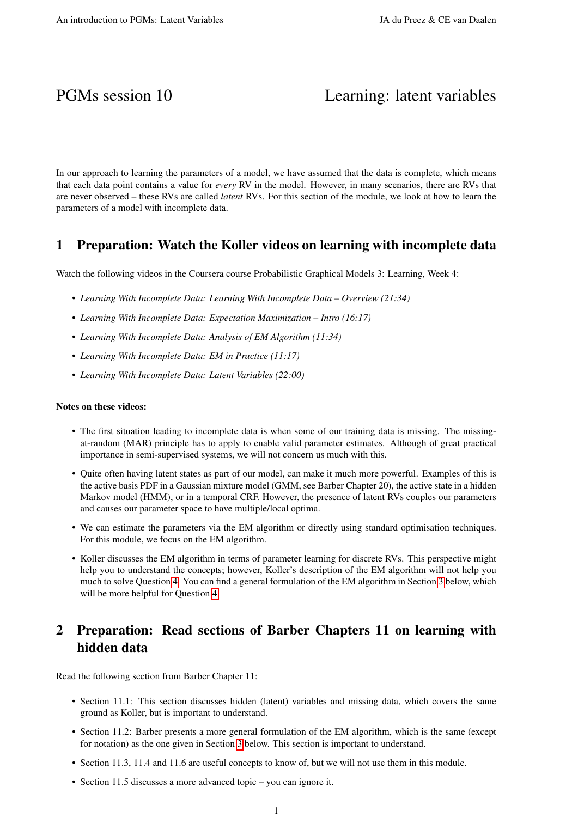# PGMs session 10 Learning: latent variables

In our approach to learning the parameters of a model, we have assumed that the data is complete, which means that each data point contains a value for *every* RV in the model. However, in many scenarios, there are RVs that are never observed – these RVs are called *latent* RVs. For this section of the module, we look at how to learn the parameters of a model with incomplete data.

### 1 Preparation: Watch the Koller videos on learning with incomplete data

Watch the following videos in the Coursera course Probabilistic Graphical Models 3: Learning, Week 4:

- *Learning With Incomplete Data: Learning With Incomplete Data Overview (21:34)*
- *Learning With Incomplete Data: Expectation Maximization Intro (16:17)*
- *Learning With Incomplete Data: Analysis of EM Algorithm (11:34)*
- *Learning With Incomplete Data: EM in Practice (11:17)*
- *Learning With Incomplete Data: Latent Variables (22:00)*

#### Notes on these videos:

- The first situation leading to incomplete data is when some of our training data is missing. The missingat-random (MAR) principle has to apply to enable valid parameter estimates. Although of great practical importance in semi-supervised systems, we will not concern us much with this.
- Quite often having latent states as part of our model, can make it much more powerful. Examples of this is the active basis PDF in a Gaussian mixture model (GMM, see Barber Chapter 20), the active state in a hidden Markov model (HMM), or in a temporal CRF. However, the presence of latent RVs couples our parameters and causes our parameter space to have multiple/local optima.
- We can estimate the parameters via the EM algorithm or directly using standard optimisation techniques. For this module, we focus on the EM algorithm.
- Koller discusses the EM algorithm in terms of parameter learning for discrete RVs. This perspective might help you to understand the concepts; however, Koller's description of the EM algorithm will not help you much to solve Question [4.](#page-2-0) You can find a general formulation of the EM algorithm in Section [3](#page-1-0) below, which will be more helpful for Question [4.](#page-2-0)

# 2 Preparation: Read sections of Barber Chapters 11 on learning with hidden data

Read the following section from Barber Chapter 11:

- Section 11.1: This section discusses hidden (latent) variables and missing data, which covers the same ground as Koller, but is important to understand.
- Section 11.2: Barber presents a more general formulation of the EM algorithm, which is the same (except for notation) as the one given in Section [3](#page-1-0) below. This section is important to understand.
- Section 11.3, 11.4 and 11.6 are useful concepts to know of, but we will not use them in this module.
- Section 11.5 discusses a more advanced topic you can ignore it.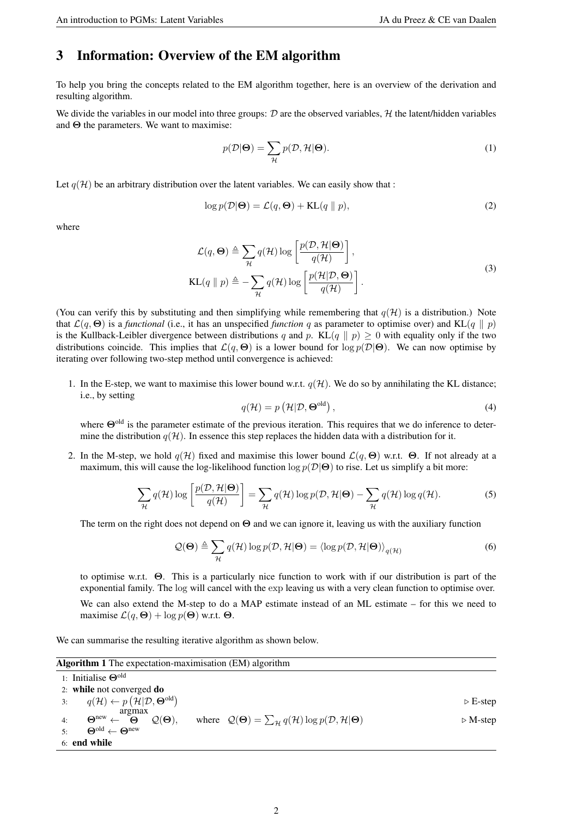# <span id="page-1-0"></span>3 Information: Overview of the EM algorithm

To help you bring the concepts related to the EM algorithm together, here is an overview of the derivation and resulting algorithm.

We divide the variables in our model into three groups:  $D$  are the observed variables,  $H$  the latent/hidden variables and  $\Theta$  the parameters. We want to maximise:

$$
p(\mathcal{D}|\Theta) = \sum_{\mathcal{H}} p(\mathcal{D}, \mathcal{H}|\Theta). \tag{1}
$$

Let  $q(\mathcal{H})$  be an arbitrary distribution over the latent variables. We can easily show that :

$$
\log p(\mathcal{D}|\Theta) = \mathcal{L}(q, \Theta) + \text{KL}(q \parallel p),\tag{2}
$$

where

$$
\mathcal{L}(q, \Theta) \triangleq \sum_{\mathcal{H}} q(\mathcal{H}) \log \left[ \frac{p(\mathcal{D}, \mathcal{H}|\Theta)}{q(\mathcal{H})} \right],
$$
  

$$
KL(q \| p) \triangleq -\sum_{\mathcal{H}} q(\mathcal{H}) \log \left[ \frac{p(\mathcal{H}|\mathcal{D}, \Theta)}{q(\mathcal{H})} \right].
$$
 (3)

(You can verify this by substituting and then simplifying while remembering that  $q(\mathcal{H})$  is a distribution.) Note that  $\mathcal{L}(q, \Theta)$  is a *functional* (i.e., it has an unspecified *function* q as parameter to optimise over) and KL(q  $\parallel p$ ) is the Kullback-Leibler divergence between distributions q and p. KL(q  $\parallel p$ )  $\geq$  0 with equality only if the two distributions coincide. This implies that  $\mathcal{L}(q, \Theta)$  is a lower bound for  $\log p(\mathcal{D}|\Theta)$ . We can now optimise by iterating over following two-step method until convergence is achieved:

1. In the E-step, we want to maximise this lower bound w.r.t.  $q(\mathcal{H})$ . We do so by annihilating the KL distance; i.e., by setting

$$
q(\mathcal{H}) = p\left(\mathcal{H}|\mathcal{D},\mathbf{\Theta}^{\text{old}}\right),\tag{4}
$$

where Θ<sup>old</sup> is the parameter estimate of the previous iteration. This requires that we do inference to determine the distribution  $q(\mathcal{H})$ . In essence this step replaces the hidden data with a distribution for it.

2. In the M-step, we hold  $q(\mathcal{H})$  fixed and maximise this lower bound  $\mathcal{L}(q, \Theta)$  w.r.t.  $\Theta$ . If not already at a maximum, this will cause the log-likelihood function  $\log p(\mathcal{D}|\Theta)$  to rise. Let us simplify a bit more:

$$
\sum_{\mathcal{H}} q(\mathcal{H}) \log \left[ \frac{p(\mathcal{D}, \mathcal{H} | \mathbf{\Theta})}{q(\mathcal{H})} \right] = \sum_{\mathcal{H}} q(\mathcal{H}) \log p(\mathcal{D}, \mathcal{H} | \mathbf{\Theta}) - \sum_{\mathcal{H}} q(\mathcal{H}) \log q(\mathcal{H}). \tag{5}
$$

The term on the right does not depend on  $\Theta$  and we can ignore it, leaving us with the auxiliary function

$$
\mathcal{Q}(\mathbf{\Theta}) \triangleq \sum_{\mathcal{H}} q(\mathcal{H}) \log p(\mathcal{D}, \mathcal{H}|\mathbf{\Theta}) = \langle \log p(\mathcal{D}, \mathcal{H}|\mathbf{\Theta}) \rangle_{q(\mathcal{H})}
$$
(6)

to optimise w.r.t. Θ. This is a particularly nice function to work with if our distribution is part of the exponential family. The log will cancel with the exp leaving us with a very clean function to optimise over. We can also extend the M-step to do a MAP estimate instead of an ML estimate – for this we need to maximise  $\mathcal{L}(q, \Theta) + \log p(\Theta)$  w.r.t.  $\Theta$ .

We can summarise the resulting iterative algorithm as shown below.

Algorithm 1 The expectation-maximisation (EM) algorithm

| $\mathbf{r}$ , $\mathbf{r}$ , $\mathbf{r}$ , $\mathbf{r}$ , $\mathbf{r}$ , $\mathbf{r}$ , $\mathbf{r}$ , $\mathbf{r}$ , $\mathbf{r}$ , $\mathbf{r}$ , $\mathbf{r}$ , $\mathbf{r}$ , $\mathbf{r}$ , $\mathbf{r}$ , $\mathbf{r}$ , $\mathbf{r}$ , $\mathbf{r}$ , $\mathbf{r}$ , $\mathbf{r}$ , $\mathbf{r}$ , |                                                                                               |                         |
|-------------------------------------------------------------------------------------------------------------------------------------------------------------------------------------------------------------------------------------------------------------------------------------------------------------|-----------------------------------------------------------------------------------------------|-------------------------|
| 1: Initialise $\Theta$ <sup>old</sup>                                                                                                                                                                                                                                                                       |                                                                                               |                         |
| 2: while not converged $do$                                                                                                                                                                                                                                                                                 |                                                                                               |                         |
| 3: $q(\mathcal{H}) \leftarrow p(\mathcal{H} \mathcal{D}, \Theta^{\text{old}})$                                                                                                                                                                                                                              |                                                                                               | $\triangleright$ E-step |
| argmax<br>$\Theta^{\mathrm{new}} \leftarrow \begin{bmatrix} 1 \end{bmatrix}$<br>$\mathcal{Q}(\mathbf{\Theta}),$<br>4:                                                                                                                                                                                       | where $Q(\Theta) = \sum_{\mathcal{H}} q(\mathcal{H}) \log p(\mathcal{D}, \mathcal{H} \Theta)$ | $\triangleright$ M-step |
| $\Theta^{\text{old}} \leftarrow \Theta^{\text{new}}$                                                                                                                                                                                                                                                        |                                                                                               |                         |
| $6:$ end while                                                                                                                                                                                                                                                                                              |                                                                                               |                         |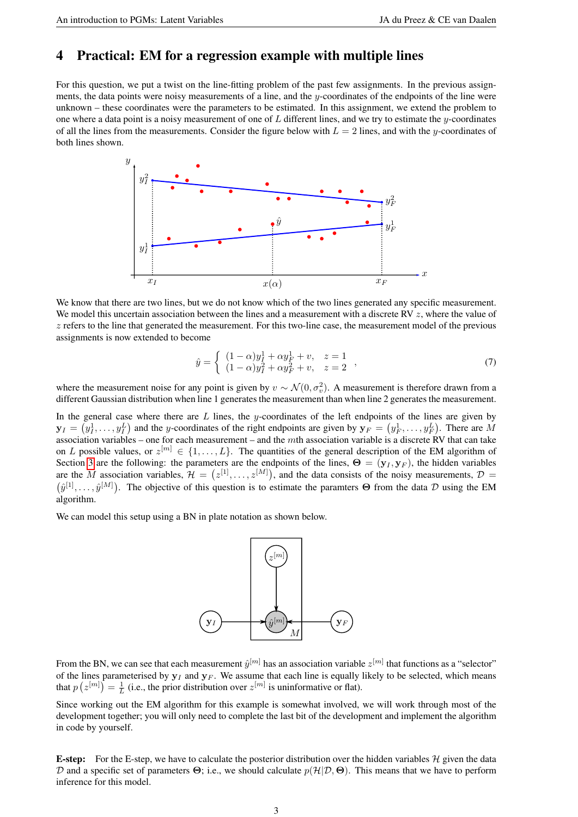# <span id="page-2-0"></span>4 Practical: EM for a regression example with multiple lines

For this question, we put a twist on the line-fitting problem of the past few assignments. In the previous assignments, the data points were noisy measurements of a line, and the  $y$ -coordinates of the endpoints of the line were unknown – these coordinates were the parameters to be estimated. In this assignment, we extend the problem to one where a data point is a noisy measurement of one of L different lines, and we try to estimate the y-coordinates of all the lines from the measurements. Consider the figure below with  $L = 2$  lines, and with the y-coordinates of both lines shown.



We know that there are two lines, but we do not know which of the two lines generated any specific measurement. We model this uncertain association between the lines and a measurement with a discrete RV  $z$ , where the value of  $z$  refers to the line that generated the measurement. For this two-line case, the measurement model of the previous assignments is now extended to become

$$
\hat{y} = \begin{cases}\n(1 - \alpha)y_I^1 + \alpha y_F^1 + v, & z = 1 \\
(1 - \alpha)y_I^2 + \alpha y_F^2 + v, & z = 2\n\end{cases},
$$
\n(7)

where the measurement noise for any point is given by  $v \sim \mathcal{N}(0, \sigma_v^2)$ . A measurement is therefore drawn from a different Gaussian distribution when line 1 generates the measurement than when line 2 generates the measurement.

In the general case where there are  $L$  lines, the y-coordinates of the left endpoints of the lines are given by  $\mathbf{y}_I = (y_I^1, \dots, y_I^L)$  and the y-coordinates of the right endpoints are given by  $\mathbf{y}_F = (y_F^1, \dots, y_F^L)$ . There are M association variables – one for each measurement – and the  $m$ th association variable is a discrete RV that can take on L possible values, or  $z^{[m]} \in \{1,\ldots,L\}$ . The quantities of the general description of the EM algorithm of Section [3](#page-1-0) are the following: the parameters are the endpoints of the lines,  $\Theta = (\mathbf{y}_I, \mathbf{y}_F)$ , the hidden variables are the M association variables,  $\mathcal{H} = (z^{[1]}, \ldots, z^{[M]})$ , and the data consists of the noisy measurements,  $\mathcal{D} =$  $(\hat{y}^{[1]},\ldots,\hat{y}^{[M]})$ . The objective of this question is to estimate the paramters  $\Theta$  from the data  $\mathcal D$  using the EM algorithm.

We can model this setup using a BN in plate notation as shown below.



From the BN, we can see that each measurement  $\hat{y}^{[m]}$  has an association variable  $z^{[m]}$  that functions as a "selector" of the lines parameterised by  $y_I$  and  $y_F$ . We assume that each line is equally likely to be selected, which means that  $p(z^{[m]}) = \frac{1}{L}$  (i.e., the prior distribution over  $z^{[m]}$  is uninformative or flat).

Since working out the EM algorithm for this example is somewhat involved, we will work through most of the development together; you will only need to complete the last bit of the development and implement the algorithm in code by yourself.

**E-step:** For the E-step, we have to calculate the posterior distribution over the hidden variables  $H$  given the data D and a specific set of parameters  $\Theta$ ; i.e., we should calculate  $p(\mathcal{H}|\mathcal{D}, \Theta)$ . This means that we have to perform inference for this model.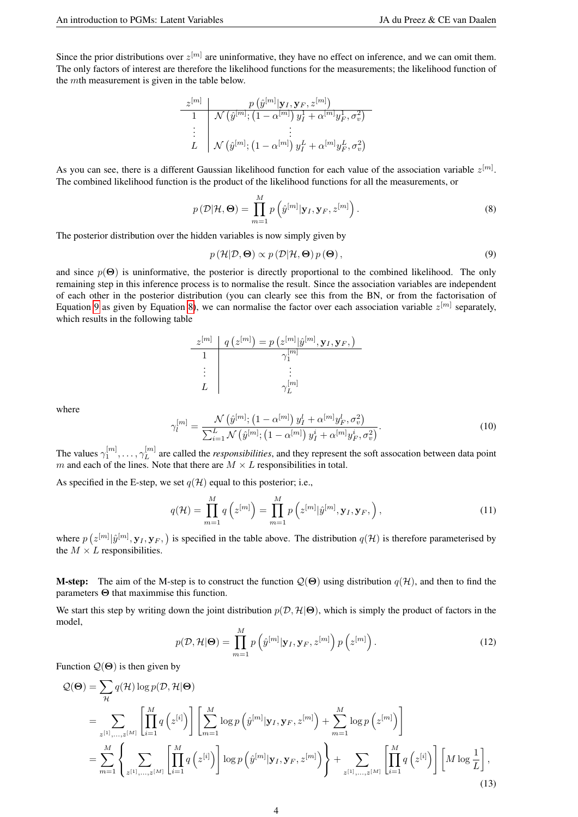Since the prior distributions over  $z^{[m]}$  are uninformative, they have no effect on inference, and we can omit them. The only factors of interest are therefore the likelihood functions for the measurements; the likelihood function of the mth measurement is given in the table below.

$$
\begin{array}{c|c}z^{[m]} & p\left(\hat{y}^{[m]}|\mathbf{y}_I,\mathbf{y}_F,z^{[m]}\right)\\ \hline 1 & \mathcal{N}\left(\hat{y}^{[m]};\left(1-\alpha^{[m]}\right)y^1_I+\alpha^{[m]}y^1_F,\sigma_v^2\right)\\ \hline \vdots & \vdots & \vdots\\ L & \mathcal{N}\left(\hat{y}^{[m]};\left(1-\alpha^{[m]}\right)y^L_I+\alpha^{[m]}y^L_F,\sigma_v^2\right)\end{array}
$$

As you can see, there is a different Gaussian likelihood function for each value of the association variable  $z^{[m]}$ . The combined likelihood function is the product of the likelihood functions for all the measurements, or

<span id="page-3-1"></span>
$$
p(\mathcal{D}|\mathcal{H},\mathbf{\Theta}) = \prod_{m=1}^{M} p\left(\hat{y}^{[m]}|\mathbf{y}_{I},\mathbf{y}_{F},z^{[m]}\right).
$$
 (8)

The posterior distribution over the hidden variables is now simply given by

<span id="page-3-0"></span>
$$
p(\mathcal{H}|\mathcal{D},\mathbf{\Theta}) \propto p(\mathcal{D}|\mathcal{H},\mathbf{\Theta})p(\mathbf{\Theta}),
$$
\n(9)

and since  $p(\Theta)$  is uninformative, the posterior is directly proportional to the combined likelihood. The only remaining step in this inference process is to normalise the result. Since the association variables are independent of each other in the posterior distribution (you can clearly see this from the BN, or from the factorisation of Equation [9](#page-3-0) as given by Equation [8\)](#page-3-1), we can normalise the factor over each association variable  $z^{[m]}$  separately, which results in the following table

$$
\begin{array}{c|c|c} z^{[m]} & q\left(z^{[m]}\right) = p\left(z^{[m]}|\hat{y}^{[m]}, \mathbf{y}_I, \mathbf{y}_F, \right) \\ \hline 1 & & \gamma_{1}^{[m]} \\ \vdots & & \vdots \\ L & & \gamma_{L}^{[m]} \end{array}
$$

where

$$
\gamma_l^{[m]} = \frac{\mathcal{N}\left(\hat{y}^{[m]}; \left(1 - \alpha^{[m]}\right) y_I^l + \alpha^{[m]} y_F^l, \sigma_v^2\right)}{\sum_{i=1}^L \mathcal{N}\left(\hat{y}^{[m]}; \left(1 - \alpha^{[m]}\right) y_I^i + \alpha^{[m]} y_F^i, \sigma_v^2\right)}.
$$
\n(10)

The values  $\gamma_1^{[m]}, \ldots, \gamma_L^{[m]}$  $L^{[m]}$  are called the *responsibilities*, and they represent the soft assocation between data point m and each of the lines. Note that there are  $M \times L$  responsibilities in total.

As specified in the E-step, we set  $q(\mathcal{H})$  equal to this posterior; i.e.,

<span id="page-3-2"></span>
$$
q(\mathcal{H}) = \prod_{m=1}^{M} q\left(z^{[m]}\right) = \prod_{m=1}^{M} p\left(z^{[m]}|\hat{y}^{[m]}, \mathbf{y}_{I}, \mathbf{y}_{F}, \right),\tag{11}
$$

where  $p(z^{[m]}|\hat{y}^{[m]}, \mathbf{y}_I, \mathbf{y}_F)$  is specified in the table above. The distribution  $q(\mathcal{H})$  is therefore parameterised by the  $M \times L$  responsibilities.

**M-step:** The aim of the M-step is to construct the function  $Q(\Theta)$  using distribution  $q(\mathcal{H})$ , and then to find the parameters Θ that maximmise this function.

We start this step by writing down the joint distribution  $p(\mathcal{D}, \mathcal{H}|\Theta)$ , which is simply the product of factors in the model,

<span id="page-3-3"></span>
$$
p(\mathcal{D}, \mathcal{H}|\mathbf{\Theta}) = \prod_{m=1}^{M} p\left(\hat{y}^{[m]}|\mathbf{y}_{I}, \mathbf{y}_{F}, z^{[m]}\right) p\left(z^{[m]}\right).
$$
 (12)

Function  $Q(\Theta)$  is then given by

$$
Q(\Theta) = \sum_{\mathcal{H}} q(\mathcal{H}) \log p(\mathcal{D}, \mathcal{H} | \Theta)
$$
  
= 
$$
\sum_{z^{[1]}, \dots, z^{[M]}} \left[ \prod_{i=1}^{M} q\left(z^{[i]}\right) \right] \left[ \sum_{m=1}^{M} \log p\left(\hat{y}^{[m]} | \mathbf{y}_I, \mathbf{y}_F, z^{[m]}\right) + \sum_{m=1}^{M} \log p\left(z^{[m]}\right) \right]
$$
  
= 
$$
\sum_{m=1}^{M} \left\{ \sum_{z^{[1]}, \dots, z^{[M]}} \left[ \prod_{i=1}^{M} q\left(z^{[i]}\right) \right] \log p\left(\hat{y}^{[m]} | \mathbf{y}_I, \mathbf{y}_F, z^{[m]}\right) \right\} + \sum_{z^{[1]}, \dots, z^{[M]}} \left[ \prod_{i=1}^{M} q\left(z^{[i]}\right) \right] \left[ M \log \frac{1}{L} \right],
$$
(13)